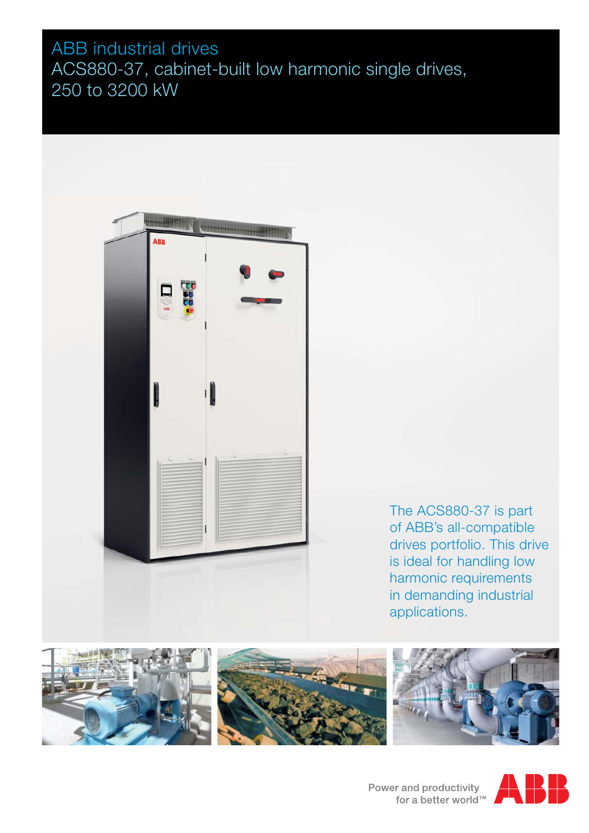# ABB industrial drives ACS880-37, cabinet-built low harmonic single drives, 250 to 3200 kW



The ACS880-37 is part of ABB's all-compatible drives portfolio. This drive is ideal for handling low harmonic requirements in demanding industrial applications.









Power and productivity<br>for a better world™